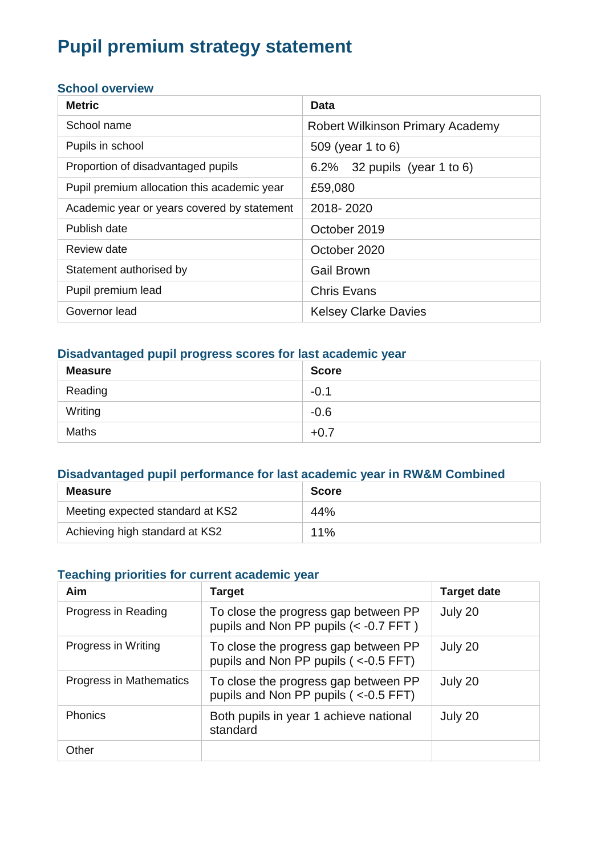# **Pupil premium strategy statement**

### **School overview**

| <b>Metric</b>                               | Data                                    |
|---------------------------------------------|-----------------------------------------|
| School name                                 | <b>Robert Wilkinson Primary Academy</b> |
| Pupils in school                            | 509 (year 1 to 6)                       |
| Proportion of disadvantaged pupils          | 6.2% 32 pupils (year 1 to 6)            |
| Pupil premium allocation this academic year | £59,080                                 |
| Academic year or years covered by statement | 2018-2020                               |
| Publish date                                | October 2019                            |
| Review date                                 | October 2020                            |
| Statement authorised by                     | <b>Gail Brown</b>                       |
| Pupil premium lead                          | <b>Chris Evans</b>                      |
| Governor lead                               | <b>Kelsey Clarke Davies</b>             |

# **Disadvantaged pupil progress scores for last academic year**

| <b>Measure</b> | <b>Score</b> |
|----------------|--------------|
| Reading        | $-0.1$       |
| Writing        | $-0.6$       |
| <b>Maths</b>   | $+0.7$       |

# **Disadvantaged pupil performance for last academic year in RW&M Combined**

| Measure                          | <b>Score</b> |
|----------------------------------|--------------|
| Meeting expected standard at KS2 | 44%          |
| Achieving high standard at KS2   | 11%          |

## **Teaching priorities for current academic year**

| Aim                     | <b>Target</b>                                                                    | <b>Target date</b> |
|-------------------------|----------------------------------------------------------------------------------|--------------------|
| Progress in Reading     | To close the progress gap between PP<br>pupils and Non PP pupils (< -0.7 FFT)    | July 20            |
| Progress in Writing     | To close the progress gap between PP<br>pupils and Non PP pupils (<-0.5 FFT)     | July 20            |
| Progress in Mathematics | To close the progress gap between PP<br>pupils and Non PP pupils ( $<$ -0.5 FFT) | July 20            |
| <b>Phonics</b>          | Both pupils in year 1 achieve national<br>standard                               | July 20            |
| Other                   |                                                                                  |                    |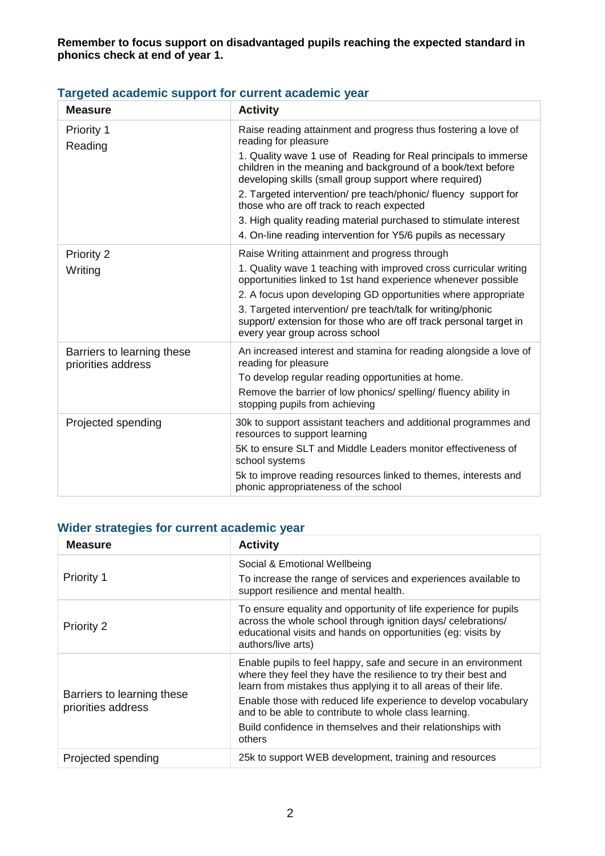**Remember to focus support on disadvantaged pupils reaching the expected standard in phonics check at end of year 1.**

| <b>Measure</b>                                   | <b>Activity</b>                                                                                                                                                                                                                                                                                                                                                                                                            |
|--------------------------------------------------|----------------------------------------------------------------------------------------------------------------------------------------------------------------------------------------------------------------------------------------------------------------------------------------------------------------------------------------------------------------------------------------------------------------------------|
| Priority 1<br>Reading                            | Raise reading attainment and progress thus fostering a love of<br>reading for pleasure                                                                                                                                                                                                                                                                                                                                     |
|                                                  | 1. Quality wave 1 use of Reading for Real principals to immerse<br>children in the meaning and background of a book/text before<br>developing skills (small group support where required)                                                                                                                                                                                                                                  |
|                                                  | 2. Targeted intervention/ pre teach/phonic/ fluency support for<br>those who are off track to reach expected                                                                                                                                                                                                                                                                                                               |
|                                                  | 3. High quality reading material purchased to stimulate interest<br>4. On-line reading intervention for Y5/6 pupils as necessary                                                                                                                                                                                                                                                                                           |
| Priority 2<br>Writing                            | Raise Writing attainment and progress through<br>1. Quality wave 1 teaching with improved cross curricular writing<br>opportunities linked to 1st hand experience whenever possible<br>2. A focus upon developing GD opportunities where appropriate<br>3. Targeted intervention/ pre teach/talk for writing/phonic<br>support/ extension for those who are off track personal target in<br>every year group across school |
| Barriers to learning these<br>priorities address | An increased interest and stamina for reading alongside a love of<br>reading for pleasure<br>To develop regular reading opportunities at home.<br>Remove the barrier of low phonics/ spelling/ fluency ability in<br>stopping pupils from achieving                                                                                                                                                                        |
| Projected spending                               | 30k to support assistant teachers and additional programmes and<br>resources to support learning<br>5K to ensure SLT and Middle Leaders monitor effectiveness of<br>school systems<br>5k to improve reading resources linked to themes, interests and<br>phonic appropriateness of the school                                                                                                                              |

#### **Targeted academic support for current academic year**

### **Wider strategies for current academic year**

| <b>Measure</b>                                   | <b>Activity</b>                                                                                                                                                                                                                                                                                                                                                                                           |
|--------------------------------------------------|-----------------------------------------------------------------------------------------------------------------------------------------------------------------------------------------------------------------------------------------------------------------------------------------------------------------------------------------------------------------------------------------------------------|
| <b>Priority 1</b>                                | Social & Emotional Wellbeing<br>To increase the range of services and experiences available to<br>support resilience and mental health.                                                                                                                                                                                                                                                                   |
| Priority 2                                       | To ensure equality and opportunity of life experience for pupils<br>across the whole school through ignition days/ celebrations/<br>educational visits and hands on opportunities (eg: visits by<br>authors/live arts)                                                                                                                                                                                    |
| Barriers to learning these<br>priorities address | Enable pupils to feel happy, safe and secure in an environment<br>where they feel they have the resilience to try their best and<br>learn from mistakes thus applying it to all areas of their life.<br>Enable those with reduced life experience to develop vocabulary<br>and to be able to contribute to whole class learning.<br>Build confidence in themselves and their relationships with<br>others |
| Projected spending                               | 25k to support WEB development, training and resources                                                                                                                                                                                                                                                                                                                                                    |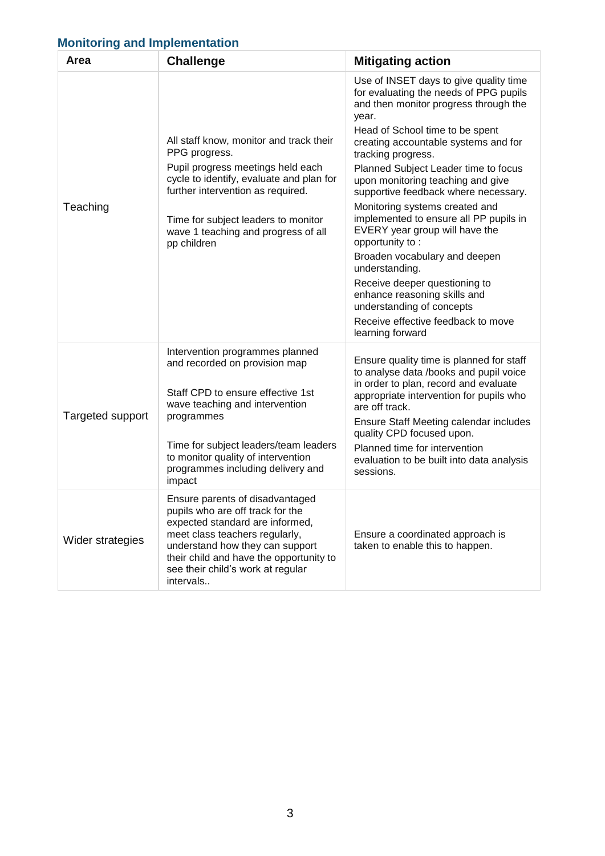# **Monitoring and Implementation**

| Area                    | <b>Challenge</b>                                                                                                                                                                                                                                                                    | <b>Mitigating action</b>                                                                                                                                                                                                                                                                                                                                                                                                                                                                                                                                                                                                                                                                             |
|-------------------------|-------------------------------------------------------------------------------------------------------------------------------------------------------------------------------------------------------------------------------------------------------------------------------------|------------------------------------------------------------------------------------------------------------------------------------------------------------------------------------------------------------------------------------------------------------------------------------------------------------------------------------------------------------------------------------------------------------------------------------------------------------------------------------------------------------------------------------------------------------------------------------------------------------------------------------------------------------------------------------------------------|
| Teaching                | All staff know, monitor and track their<br>PPG progress.<br>Pupil progress meetings held each<br>cycle to identify, evaluate and plan for<br>further intervention as required.<br>Time for subject leaders to monitor<br>wave 1 teaching and progress of all<br>pp children         | Use of INSET days to give quality time<br>for evaluating the needs of PPG pupils<br>and then monitor progress through the<br>year.<br>Head of School time to be spent<br>creating accountable systems and for<br>tracking progress.<br>Planned Subject Leader time to focus<br>upon monitoring teaching and give<br>supportive feedback where necessary.<br>Monitoring systems created and<br>implemented to ensure all PP pupils in<br>EVERY year group will have the<br>opportunity to:<br>Broaden vocabulary and deepen<br>understanding.<br>Receive deeper questioning to<br>enhance reasoning skills and<br>understanding of concepts<br>Receive effective feedback to move<br>learning forward |
| <b>Targeted support</b> | Intervention programmes planned<br>and recorded on provision map<br>Staff CPD to ensure effective 1st<br>wave teaching and intervention<br>programmes<br>Time for subject leaders/team leaders<br>to monitor quality of intervention<br>programmes including delivery and<br>impact | Ensure quality time is planned for staff<br>to analyse data /books and pupil voice<br>in order to plan, record and evaluate<br>appropriate intervention for pupils who<br>are off track.<br>Ensure Staff Meeting calendar includes<br>quality CPD focused upon.<br>Planned time for intervention<br>evaluation to be built into data analysis<br>sessions.                                                                                                                                                                                                                                                                                                                                           |
| Wider strategies        | Ensure parents of disadvantaged<br>pupils who are off track for the<br>expected standard are informed,<br>meet class teachers regularly,<br>understand how they can support<br>their child and have the opportunity to<br>see their child's work at regular<br>intervals            | Ensure a coordinated approach is<br>taken to enable this to happen.                                                                                                                                                                                                                                                                                                                                                                                                                                                                                                                                                                                                                                  |